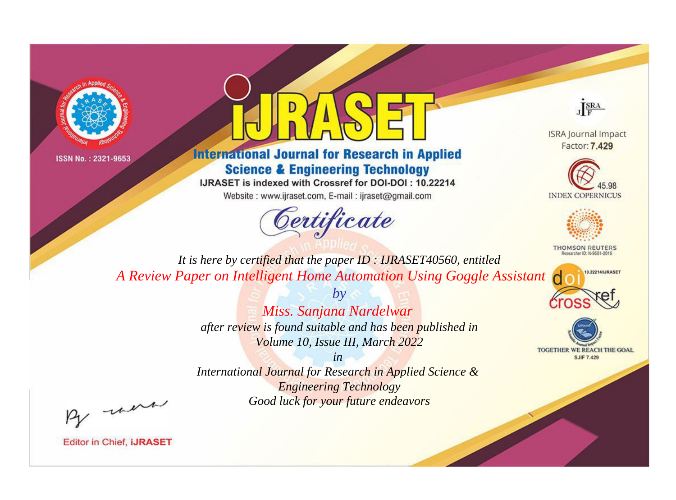



# **International Journal for Research in Applied Science & Engineering Technology**

IJRASET is indexed with Crossref for DOI-DOI: 10.22214

Website: www.ijraset.com, E-mail: ijraset@gmail.com



JERA

**ISRA Journal Impact** Factor: 7,429





**THOMSON REUTERS** 



TOGETHER WE REACH THE GOAL **SJIF 7.429** 

*It is here by certified that the paper ID : IJRASET40560, entitled A Review Paper on Intelligent Home Automation Using Goggle Assistant*

> *Miss. Sanjana Nardelwar after review is found suitable and has been published in Volume 10, Issue III, March 2022*

*by*

*in* 

*International Journal for Research in Applied Science & Engineering Technology Good luck for your future endeavors*

By morn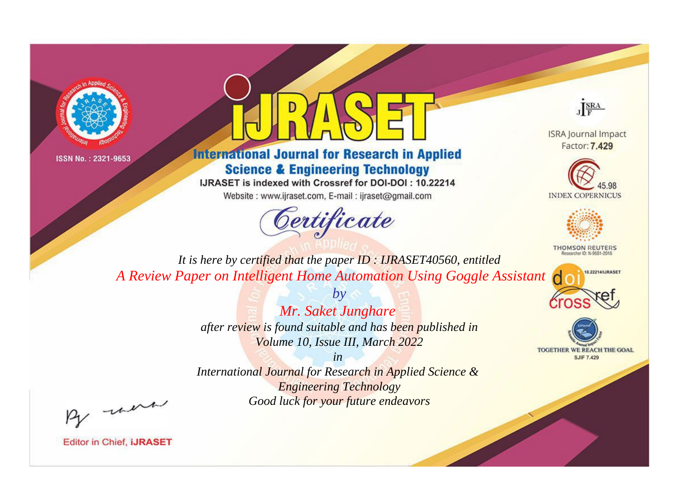



# **International Journal for Research in Applied Science & Engineering Technology**

IJRASET is indexed with Crossref for DOI-DOI: 10.22214

Website: www.ijraset.com, E-mail: ijraset@gmail.com



JERA

**ISRA Journal Impact** Factor: 7,429





**THOMSON REUTERS** 



TOGETHER WE REACH THE GOAL **SJIF 7.429** 

*It is here by certified that the paper ID : IJRASET40560, entitled A Review Paper on Intelligent Home Automation Using Goggle Assistant*

> *Mr. Saket Junghare after review is found suitable and has been published in Volume 10, Issue III, March 2022*

*by*

*in* 

*International Journal for Research in Applied Science & Engineering Technology Good luck for your future endeavors*

By morn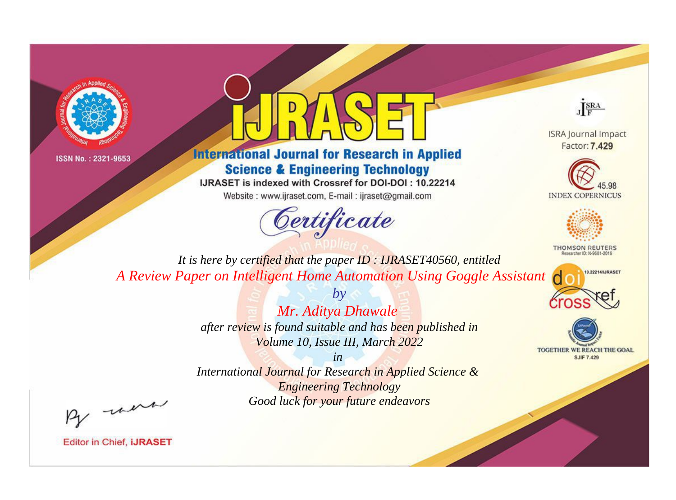



# **International Journal for Research in Applied Science & Engineering Technology**

IJRASET is indexed with Crossref for DOI-DOI: 10.22214

Website: www.ijraset.com, E-mail: ijraset@gmail.com



JERA

**ISRA Journal Impact** Factor: 7,429





**THOMSON REUTERS** 



TOGETHER WE REACH THE GOAL **SJIF 7.429** 

It is here by certified that the paper ID: IJRASET40560, entitled A Review Paper on Intelligent Home Automation Using Goggle Assistant

> Mr. Aditya Dhawale after review is found suitable and has been published in Volume 10, Issue III, March 2022

 $b\nu$ 

 $in$ International Journal for Research in Applied Science & **Engineering Technology** Good luck for your future endeavors

By morn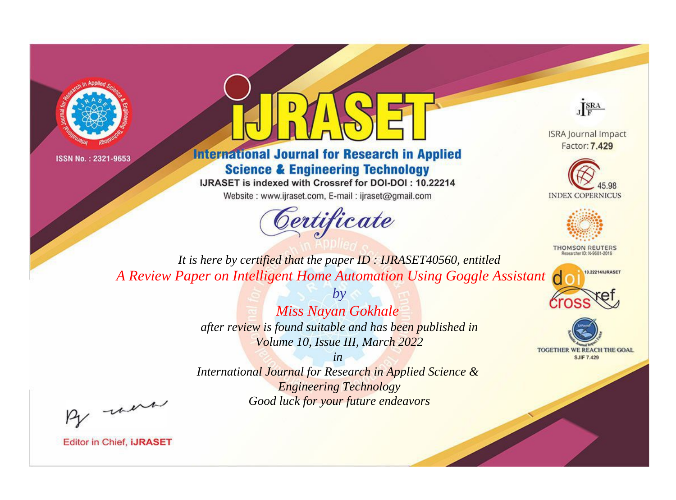



# **International Journal for Research in Applied Science & Engineering Technology**

IJRASET is indexed with Crossref for DOI-DOI: 10.22214

Website: www.ijraset.com, E-mail: ijraset@gmail.com



JERA

**ISRA Journal Impact** Factor: 7,429





**THOMSON REUTERS** 



TOGETHER WE REACH THE GOAL **SJIF 7.429** 

*It is here by certified that the paper ID : IJRASET40560, entitled A Review Paper on Intelligent Home Automation Using Goggle Assistant*

> *by Miss Nayan Gokhale after review is found suitable and has been published in*

*Volume 10, Issue III, March 2022 in International Journal for Research in Applied Science &* 

> *Engineering Technology Good luck for your future endeavors*

By morn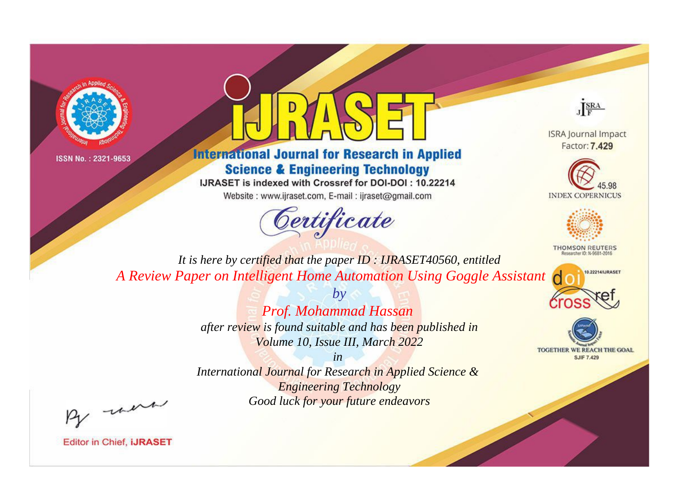



# **International Journal for Research in Applied Science & Engineering Technology**

IJRASET is indexed with Crossref for DOI-DOI: 10.22214

Website: www.ijraset.com, E-mail: ijraset@gmail.com



JERA

**ISRA Journal Impact** Factor: 7,429





**THOMSON REUTERS** 



TOGETHER WE REACH THE GOAL **SJIF 7.429** 

*It is here by certified that the paper ID : IJRASET40560, entitled A Review Paper on Intelligent Home Automation Using Goggle Assistant*

> *by Prof. Mohammad Hassan after review is found suitable and has been published in Volume 10, Issue III, March 2022*

> > *in*

*International Journal for Research in Applied Science & Engineering Technology Good luck for your future endeavors*

By morn